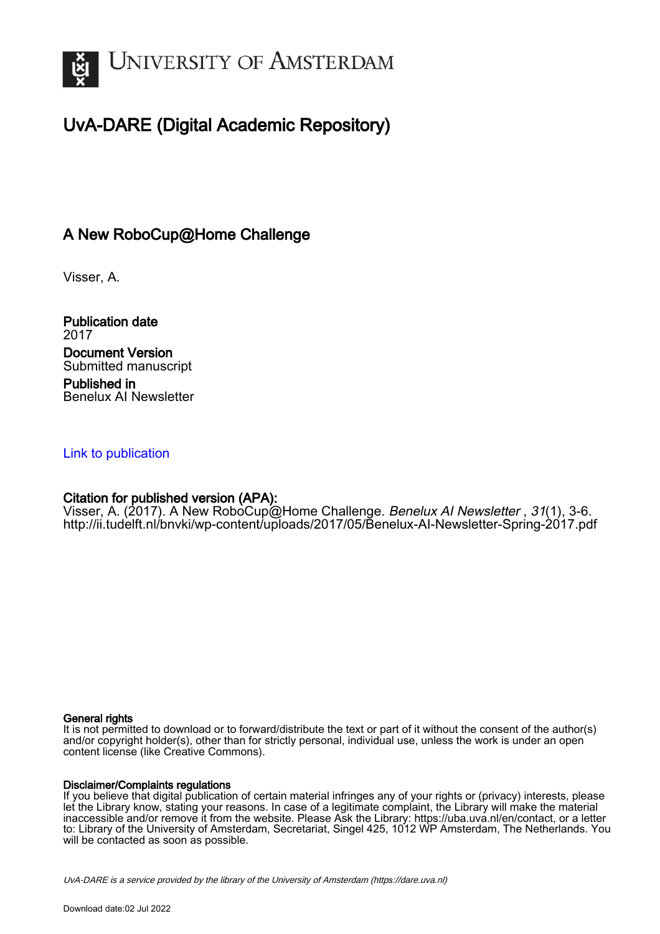

# UvA-DARE (Digital Academic Repository)

## A New RoboCup@Home Challenge

Visser, A.

Publication date 2017 Document Version Submitted manuscript Published in Benelux AI Newsletter

### [Link to publication](https://dare.uva.nl/personal/pure/en/publications/a-new-robocuphome-challenge(c840f98c-4342-47b0-900f-db96280d878f).html)

## Citation for published version (APA):

Visser, A. (2017). A New RoboCup@Home Challenge. Benelux AI Newsletter, 31(1), 3-6. <http://ii.tudelft.nl/bnvki/wp-content/uploads/2017/05/Benelux-AI-Newsletter-Spring-2017.pdf>

#### General rights

It is not permitted to download or to forward/distribute the text or part of it without the consent of the author(s) and/or copyright holder(s), other than for strictly personal, individual use, unless the work is under an open content license (like Creative Commons).

#### Disclaimer/Complaints regulations

If you believe that digital publication of certain material infringes any of your rights or (privacy) interests, please let the Library know, stating your reasons. In case of a legitimate complaint, the Library will make the material inaccessible and/or remove it from the website. Please Ask the Library: https://uba.uva.nl/en/contact, or a letter to: Library of the University of Amsterdam, Secretariat, Singel 425, 1012 WP Amsterdam, The Netherlands. You will be contacted as soon as possible.

UvA-DARE is a service provided by the library of the University of Amsterdam (http*s*://dare.uva.nl)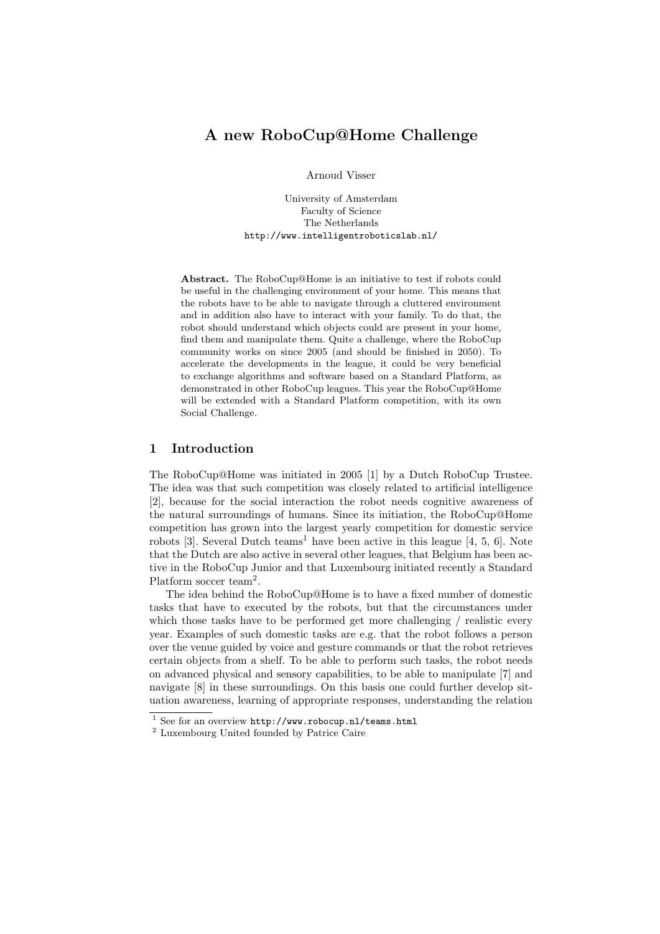## A new RoboCup@Home Challenge

Arnoud Visser

University of Amsterdam Faculty of Science The Netherlands http://www.intelligentroboticslab.nl/

Abstract. The RoboCup@Home is an initiative to test if robots could be useful in the challenging environment of your home. This means that the robots have to be able to navigate through a cluttered environment and in addition also have to interact with your family. To do that, the robot should understand which objects could are present in your home, find them and manipulate them. Quite a challenge, where the RoboCup community works on since 2005 (and should be finished in 2050). To accelerate the developments in the league, it could be very beneficial to exchange algorithms and software based on a Standard Platform, as demonstrated in other RoboCup leagues. This year the RoboCup@Home will be extended with a Standard Platform competition, with its own Social Challenge.

#### 1 Introduction

The RoboCup@Home was initiated in 2005 [1] by a Dutch RoboCup Trustee. The idea was that such competition was closely related to artificial intelligence [2], because for the social interaction the robot needs cognitive awareness of the natural surroundings of humans. Since its initiation, the RoboCup@Home competition has grown into the largest yearly competition for domestic service robots [3]. Several Dutch teams<sup>1</sup> have been active in this league [4, 5, 6]. Note that the Dutch are also active in several other leagues, that Belgium has been active in the RoboCup Junior and that Luxembourg initiated recently a Standard Platform soccer team<sup>2</sup>.

The idea behind the RoboCup@Home is to have a fixed number of domestic tasks that have to executed by the robots, but that the circumstances under which those tasks have to be performed get more challenging / realistic every year. Examples of such domestic tasks are e.g. that the robot follows a person over the venue guided by voice and gesture commands or that the robot retrieves certain objects from a shelf. To be able to perform such tasks, the robot needs on advanced physical and sensory capabilities, to be able to manipulate [7] and navigate [8] in these surroundings. On this basis one could further develop situation awareness, learning of appropriate responses, understanding the relation

<sup>&</sup>lt;sup>1</sup> See for an overview http://www.robocup.nl/teams.html

<sup>2</sup> Luxembourg United founded by Patrice Caire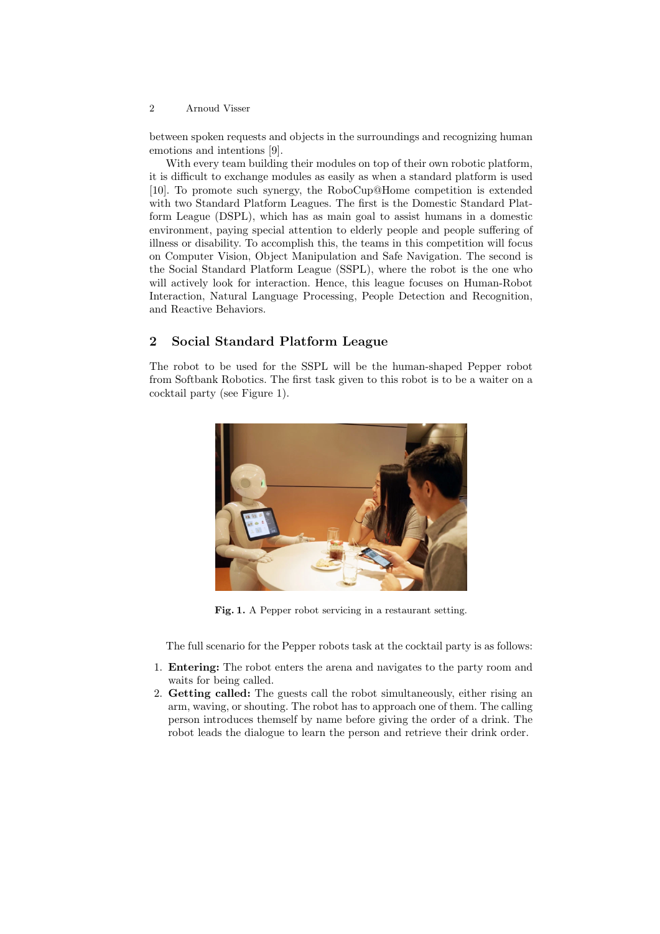#### 2 Arnoud Visser

between spoken requests and objects in the surroundings and recognizing human emotions and intentions [9].

With every team building their modules on top of their own robotic platform, it is difficult to exchange modules as easily as when a standard platform is used [10]. To promote such synergy, the RoboCup@Home competition is extended with two Standard Platform Leagues. The first is the Domestic Standard Platform League (DSPL), which has as main goal to assist humans in a domestic environment, paying special attention to elderly people and people suffering of illness or disability. To accomplish this, the teams in this competition will focus on Computer Vision, Object Manipulation and Safe Navigation. The second is the Social Standard Platform League (SSPL), where the robot is the one who will actively look for interaction. Hence, this league focuses on Human-Robot Interaction, Natural Language Processing, People Detection and Recognition, and Reactive Behaviors.

#### 2 Social Standard Platform League

The robot to be used for the SSPL will be the human-shaped Pepper robot from Softbank Robotics. The first task given to this robot is to be a waiter on a cocktail party (see Figure 1).



Fig. 1. A Pepper robot servicing in a restaurant setting.

The full scenario for the Pepper robots task at the cocktail party is as follows:

- 1. Entering: The robot enters the arena and navigates to the party room and waits for being called.
- 2. Getting called: The guests call the robot simultaneously, either rising an arm, waving, or shouting. The robot has to approach one of them. The calling person introduces themself by name before giving the order of a drink. The robot leads the dialogue to learn the person and retrieve their drink order.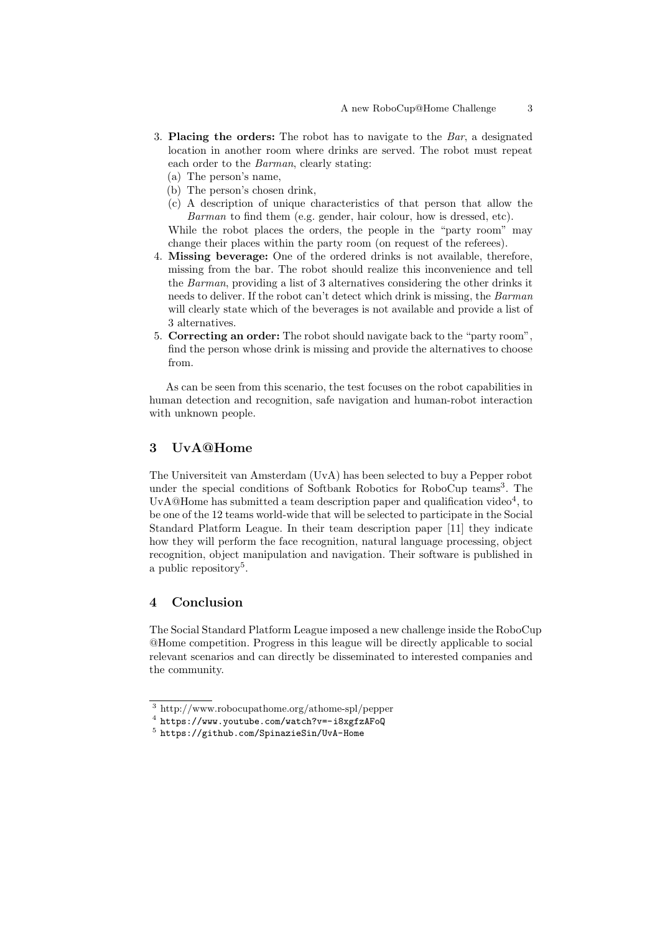- 3. Placing the orders: The robot has to navigate to the Bar, a designated location in another room where drinks are served. The robot must repeat each order to the Barman, clearly stating:
	- (a) The person's name,
	- (b) The person's chosen drink,
	- (c) A description of unique characteristics of that person that allow the Barman to find them (e.g. gender, hair colour, how is dressed, etc).

While the robot places the orders, the people in the "party room" may change their places within the party room (on request of the referees).

- 4. Missing beverage: One of the ordered drinks is not available, therefore, missing from the bar. The robot should realize this inconvenience and tell the Barman, providing a list of 3 alternatives considering the other drinks it needs to deliver. If the robot can't detect which drink is missing, the Barman will clearly state which of the beverages is not available and provide a list of 3 alternatives.
- 5. Correcting an order: The robot should navigate back to the "party room", find the person whose drink is missing and provide the alternatives to choose from.

As can be seen from this scenario, the test focuses on the robot capabilities in human detection and recognition, safe navigation and human-robot interaction with unknown people.

#### 3 UvA@Home

The Universiteit van Amsterdam (UvA) has been selected to buy a Pepper robot under the special conditions of Softbank Robotics for RoboCup teams<sup>3</sup>. The UvA@Home has submitted a team description paper and qualification video<sup>4</sup>, to be one of the 12 teams world-wide that will be selected to participate in the Social Standard Platform League. In their team description paper [11] they indicate how they will perform the face recognition, natural language processing, object recognition, object manipulation and navigation. Their software is published in a public repository<sup>5</sup>.

#### 4 Conclusion

The Social Standard Platform League imposed a new challenge inside the RoboCup @Home competition. Progress in this league will be directly applicable to social relevant scenarios and can directly be disseminated to interested companies and the community.

<sup>3</sup> http://www.robocupathome.org/athome-spl/pepper

<sup>4</sup> https://www.youtube.com/watch?v=-i8xgfzAFoQ

<sup>5</sup> https://github.com/SpinazieSin/UvA-Home